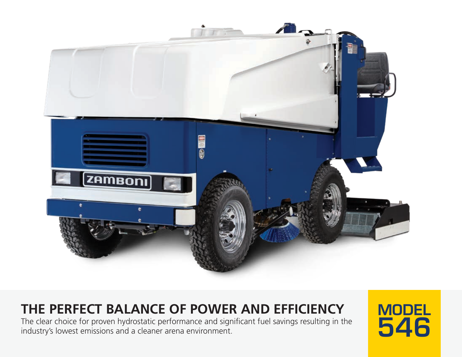

THE PERFECT BALANCE OF POWER AND EFFICIENCY<br>The clear choice for proven hydrostatic performance and significant fuel savings resulting in the<br>industry's lowest emissions and a cleaner arena environment. The clear choice for proven hydrostatic performance and significant fuel savings resulting in the **14646**